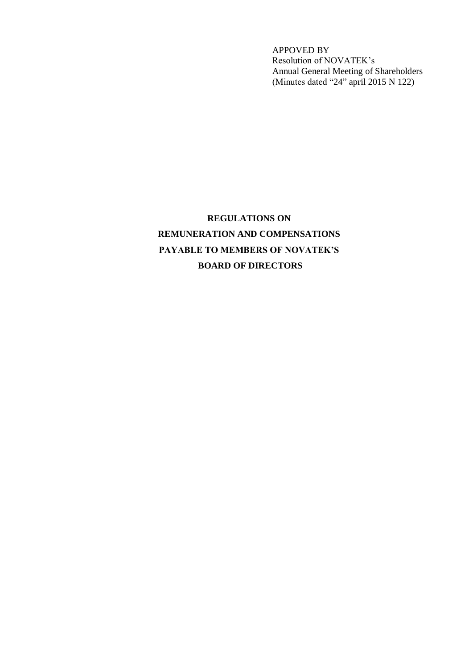APPOVED BY Resolution of NOVATEK's Annual General Meeting of Shareholders (Minutes dated "24" april 2015 N 122)

# **REGULATIONS ON REMUNERATION AND COMPENSATIONS PAYABLE TO MEMBERS OF NOVATEK'S BOARD OF DIRECTORS**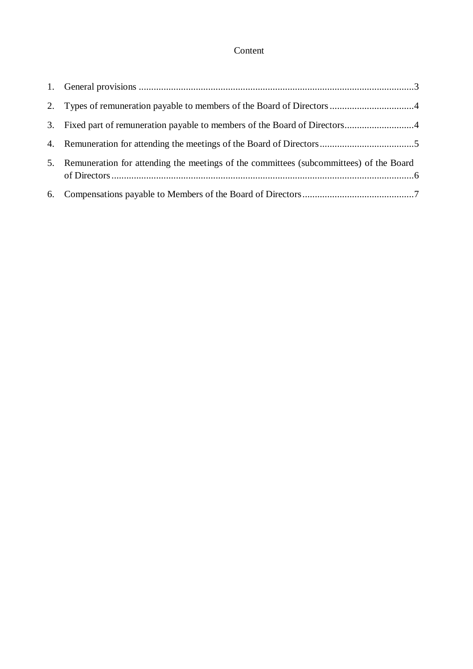# Content

| 3. Fixed part of remuneration payable to members of the Board of Directors4               |
|-------------------------------------------------------------------------------------------|
|                                                                                           |
| 5. Remuneration for attending the meetings of the committees (subcommittees) of the Board |
|                                                                                           |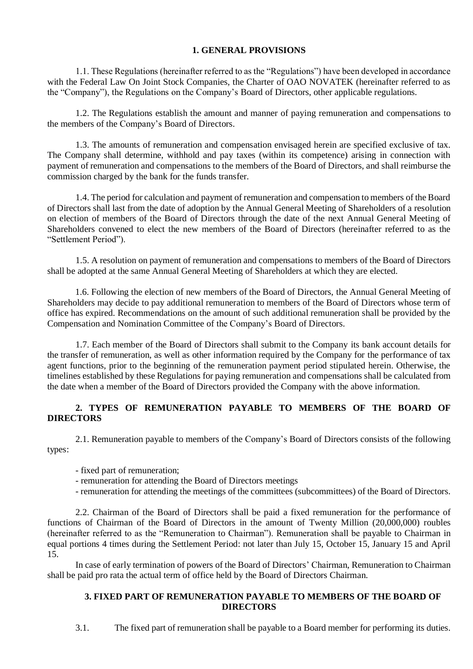### **1. GENERAL PROVISIONS**

1.1. These Regulations (hereinafter referred to as the "Regulations") have been developed in accordance with the Federal Law On Joint Stock Companies, the Charter of OAO NOVATEK (hereinafter referred to as the "Company"), the Regulations on the Company's Board of Directors, other applicable regulations.

1.2. The Regulations establish the amount and manner of paying remuneration and compensations to the members of the Company's Board of Directors.

1.3. The amounts of remuneration and compensation envisaged herein are specified exclusive of tax. The Company shall determine, withhold and pay taxes (within its competence) arising in connection with payment of remuneration and compensations to the members of the Board of Directors, and shall reimburse the commission charged by the bank for the funds transfer.

1.4. The period for calculation and payment of remuneration and compensation to members of the Board of Directors shall last from the date of adoption by the Annual General Meeting of Shareholders of a resolution on election of members of the Board of Directors through the date of the next Annual General Meeting of Shareholders convened to elect the new members of the Board of Directors (hereinafter referred to as the "Settlement Period").

1.5. A resolution on payment of remuneration and compensations to members of the Board of Directors shall be adopted at the same Annual General Meeting of Shareholders at which they are elected.

1.6. Following the election of new members of the Board of Directors, the Annual General Meeting of Shareholders may decide to pay additional remuneration to members of the Board of Directors whose term of office has expired. Recommendations on the amount of such additional remuneration shall be provided by the Compensation and Nomination Committee of the Company's Board of Directors.

1.7. Each member of the Board of Directors shall submit to the Company its bank account details for the transfer of remuneration, as well as other information required by the Company for the performance of tax agent functions, prior to the beginning of the remuneration payment period stipulated herein. Otherwise, the timelines established by these Regulations for paying remuneration and compensations shall be calculated from the date when a member of the Board of Directors provided the Company with the above information.

## **2. TYPES OF REMUNERATION PAYABLE TO MEMBERS OF THE BOARD OF DIRECTORS**

2.1. Remuneration payable to members of the Company's Board of Directors consists of the following types:

- fixed part of remuneration;

- remuneration for attending the Board of Directors meetings
- remuneration for attending the meetings of the committees (subcommittees) of the Board of Directors.

2.2. Chairman of the Board of Directors shall be paid a fixed remuneration for the performance of functions of Chairman of the Board of Directors in the amount of Twenty Million (20,000,000) roubles (hereinafter referred to as the "Remuneration to Chairman"). Remuneration shall be payable to Chairman in equal portions 4 times during the Settlement Period: not later than July 15, October 15, January 15 and April 15.

In case of early termination of powers of the Board of Directors' Chairman, Remuneration to Chairman shall be paid pro rata the actual term of office held by the Board of Directors Chairman.

#### **3. FIXED PART OF REMUNERATION PAYABLE TO MEMBERS OF THE BOARD OF DIRECTORS**

3.1. The fixed part of remuneration shall be payable to a Board member for performing its duties.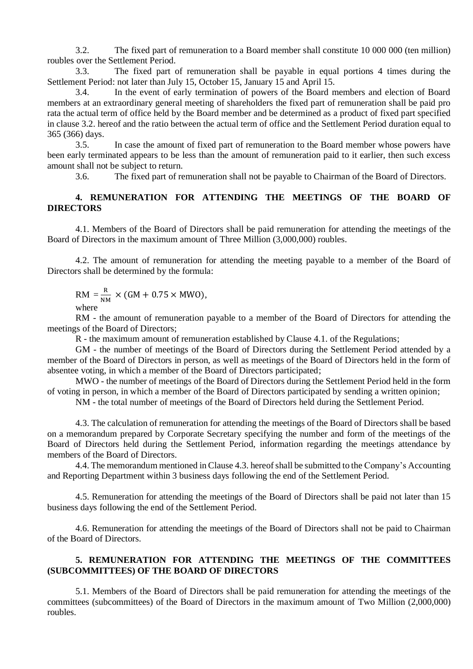3.2. The fixed part of remuneration to a Board member shall constitute 10 000 000 (ten million) roubles over the Settlement Period.

3.3. The fixed part of remuneration shall be payable in equal portions 4 times during the Settlement Period: not later than July 15, October 15, January 15 and April 15.

3.4. In the event of early termination of powers of the Board members and election of Board members at an extraordinary general meeting of shareholders the fixed part of remuneration shall be paid pro rata the actual term of office held by the Board member and be determined as a product of fixed part specified in clause 3.2. hereof and the ratio between the actual term of office and the Settlement Period duration equal to 365 (366) days.

3.5. In case the amount of fixed part of remuneration to the Board member whose powers have been early terminated appears to be less than the amount of remuneration paid to it earlier, then such excess amount shall not be subject to return.

3.6. The fixed part of remuneration shall not be payable to Chairman of the Board of Directors.

#### **4. REMUNERATION FOR ATTENDING THE MEETINGS OF THE BOARD OF DIRECTORS**

4.1. Members of the Board of Directors shall be paid remuneration for attending the meetings of the Board of Directors in the maximum amount of Three Million (3,000,000) roubles.

4.2. The amount of remuneration for attending the meeting payable to a member of the Board of Directors shall be determined by the formula:

 $RM = \frac{R}{M}$  $\frac{\text{N}}{\text{NM}} \times (\text{GM} + 0.75 \times \text{MWO}),$ where

RM - the amount of remuneration payable to a member of the Board of Directors for attending the meetings of the Board of Directors;

R - the maximum amount of remuneration established by Clause 4.1. of the Regulations;

GM - the number of meetings of the Board of Directors during the Settlement Period attended by a member of the Board of Directors in person, as well as meetings of the Board of Directors held in the form of absentee voting, in which a member of the Board of Directors participated;

MWO - the number of meetings of the Board of Directors during the Settlement Period held in the form of voting in person, in which a member of the Board of Directors participated by sending a written opinion;

NM - the total number of meetings of the Board of Directors held during the Settlement Period.

4.3. The calculation of remuneration for attending the meetings of the Board of Directors shall be based on a memorandum prepared by Corporate Secretary specifying the number and form of the meetings of the Board of Directors held during the Settlement Period, information regarding the meetings attendance by members of the Board of Directors.

4.4. The memorandum mentioned in Clause 4.3. hereof shall be submitted to the Company's Accounting and Reporting Department within 3 business days following the end of the Settlement Period.

4.5. Remuneration for attending the meetings of the Board of Directors shall be paid not later than 15 business days following the end of the Settlement Period.

4.6. Remuneration for attending the meetings of the Board of Directors shall not be paid to Chairman of the Board of Directors.

#### **5. REMUNERATION FOR ATTENDING THE MEETINGS OF THE COMMITTEES (SUBCOMMITTEES) OF THE BOARD OF DIRECTORS**

5.1. Members of the Board of Directors shall be paid remuneration for attending the meetings of the committees (subcommittees) of the Board of Directors in the maximum amount of Two Million (2,000,000) roubles.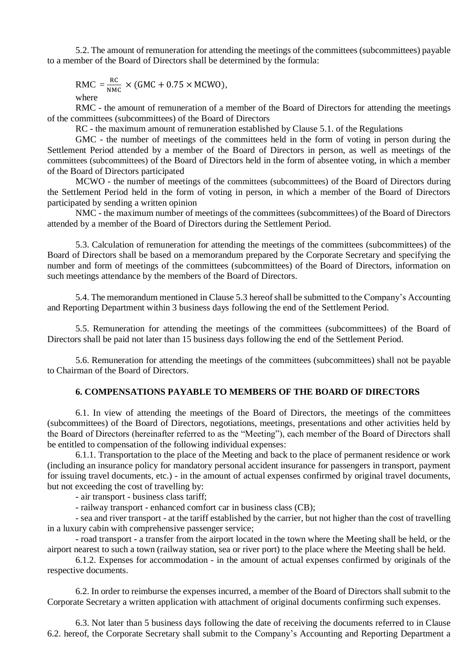5.2. The amount of remuneration for attending the meetings of the committees (subcommittees) payable to a member of the Board of Directors shall be determined by the formula:

$$
RMC = \frac{RC}{NMC} \times (GMC + 0.75 \times MCWO),
$$
  
where

RMC - the amount of remuneration of a member of the Board of Directors for attending the meetings of the committees (subcommittees) of the Board of Directors

RC - the maximum amount of remuneration established by Clause 5.1. of the Regulations

GMC - the number of meetings of the committees held in the form of voting in person during the Settlement Period attended by a member of the Board of Directors in person, as well as meetings of the committees (subcommittees) of the Board of Directors held in the form of absentee voting, in which a member of the Board of Directors participated

MCWO - the number of meetings of the committees (subcommittees) of the Board of Directors during the Settlement Period held in the form of voting in person, in which a member of the Board of Directors participated by sending a written opinion

NMC - the maximum number of meetings of the committees (subcommittees) of the Board of Directors attended by a member of the Board of Directors during the Settlement Period.

5.3. Calculation of remuneration for attending the meetings of the committees (subcommittees) of the Board of Directors shall be based on a memorandum prepared by the Corporate Secretary and specifying the number and form of meetings of the committees (subcommittees) of the Board of Directors, information on such meetings attendance by the members of the Board of Directors.

5.4. The memorandum mentioned in Clause 5.3 hereof shall be submitted to the Company's Accounting and Reporting Department within 3 business days following the end of the Settlement Period.

5.5. Remuneration for attending the meetings of the committees (subcommittees) of the Board of Directors shall be paid not later than 15 business days following the end of the Settlement Period.

5.6. Remuneration for attending the meetings of the committees (subcommittees) shall not be payable to Chairman of the Board of Directors.

#### **6. COMPENSATIONS PAYABLE TO MEMBERS OF THE BOARD OF DIRECTORS**

6.1. In view of attending the meetings of the Board of Directors, the meetings of the committees (subcommittees) of the Board of Directors, negotiations, meetings, presentations and other activities held by the Board of Directors (hereinafter referred to as the "Meeting"), each member of the Board of Directors shall be entitled to compensation of the following individual expenses:

6.1.1. Transportation to the place of the Meeting and back to the place of permanent residence or work (including an insurance policy for mandatory personal accident insurance for passengers in transport, payment for issuing travel documents, etc.) - in the amount of actual expenses confirmed by original travel documents, but not exceeding the cost of travelling by:

- air transport - business class tariff;

- railway transport - enhanced comfort car in business class (CB);

- sea and river transport - at the tariff established by the carrier, but not higher than the cost of travelling in a luxury cabin with comprehensive passenger service;

- road transport - a transfer from the airport located in the town where the Meeting shall be held, or the airport nearest to such a town (railway station, sea or river port) to the place where the Meeting shall be held.

6.1.2. Expenses for accommodation - in the amount of actual expenses confirmed by originals of the respective documents.

6.2. In order to reimburse the expenses incurred, a member of the Board of Directors shall submit to the Corporate Secretary a written application with attachment of original documents confirming such expenses.

6.3. Not later than 5 business days following the date of receiving the documents referred to in Clause 6.2. hereof, the Corporate Secretary shall submit to the Company's Accounting and Reporting Department a